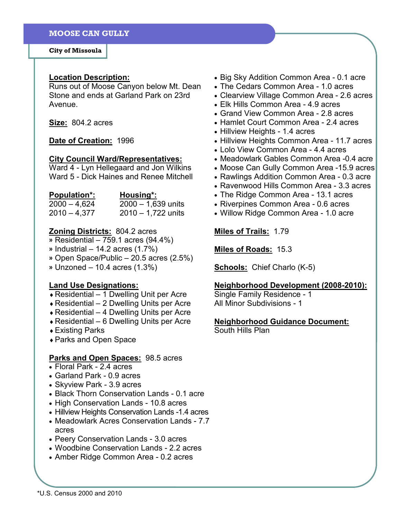City of Missoula

#### Location Description:

Runs out of Moose Canyon below Mt. Dean Stone and ends at Garland Park on 23rd Avenue.

Size: 804.2 acres

Date of Creation: 1996

#### City Council Ward/Representatives:

Ward 4 - Lyn Hellegaard and Jon Wilkins Ward 5 - Dick Haines and Renee Mitchell

| <b>Population*:</b> | Housing*:            |
|---------------------|----------------------|
| $2000 - 4,624$      | $2000 - 1,639$ units |
| $2010 - 4.377$      | $2010 - 1,722$ units |

# **Zoning Districts: 804.2 acres**

- » Residential 759.1 acres (94.4%)
- $\frac{1}{2}$  Industrial 14.2 acres (1.7%)
- » Open Space/Public 20.5 acres (2.5%)

» Unzoned – 10.4 acres (1.3%)

#### Land Use Designations:

- $\triangle$  Residential 1 Dwelling Unit per Acre
- $\triangle$  Residential 2 Dwelling Units per Acre
- $\triangle$  Residential 4 Dwelling Units per Acre
- $\triangle$  Residential 6 Dwelling Units per Acre
- ♦ Existing Parks
- ♦ Parks and Open Space

## Parks and Open Spaces: 98.5 acres

- Floral Park 2.4 acres
- Garland Park 0.9 acres
- Skyview Park 3.9 acres
- Black Thorn Conservation Lands 0.1 acre
- High Conservation Lands 10.8 acres
- Hillview Heights Conservation Lands -1.4 acres
- Meadowlark Acres Conservation Lands 7.7 acres
- Peery Conservation Lands 3.0 acres
- Woodbine Conservation Lands 2.2 acres
- Amber Ridge Common Area 0.2 acres
- Big Sky Addition Common Area 0.1 acre
- The Cedars Common Area 1.0 acres
- Clearview Village Common Area 2.6 acres
- Elk Hills Common Area 4.9 acres
- Grand View Common Area 2.8 acres
- Hamlet Court Common Area 2.4 acres
- Hillview Heights 1.4 acres
- Hillview Heights Common Area 11.7 acres
- Lolo View Common Area 4.4 acres
- Meadowlark Gables Common Area -0.4 acre
- Moose Can Gully Common Area -15.9 acres
- Rawlings Addition Common Area 0.3 acre
- Ravenwood Hills Common Area 3.3 acres
- The Ridge Common Area 13.1 acres
- Riverpines Common Area 0.6 acres
- Willow Ridge Common Area 1.0 acre

## Miles of Trails: 1.79

Miles of Roads: 15.3

Schools: Chief Charlo (K-5)

## Neighborhood Development (2008-2010):

Single Family Residence - 1 All Minor Subdivisions - 1

#### Neighborhood Guidance Document:

South Hills Plan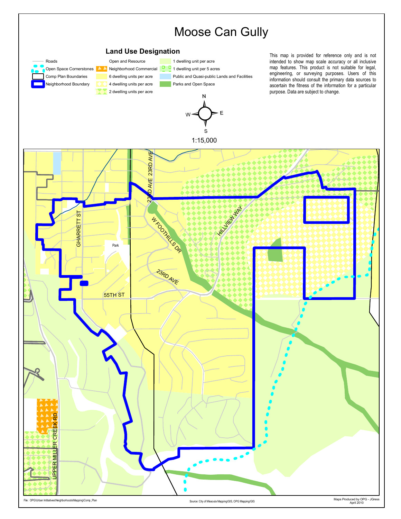

File: OPG\Urban Intitiatives\Neighborhoods\Mapping\Comp\_Plan Source: City of Missoula Mapping\GIS, OPG Mapping/GIS, OPG Mapping/GIS, OPG Mapping

Maps Produced by OPG - JGress April 2010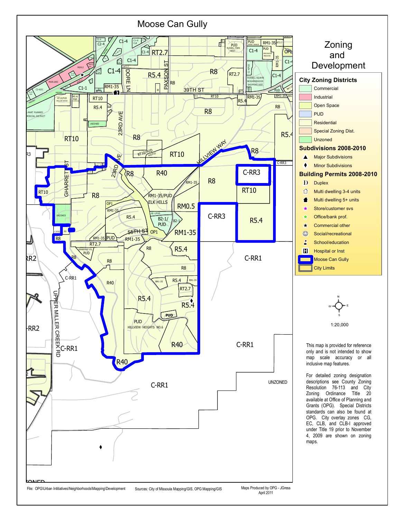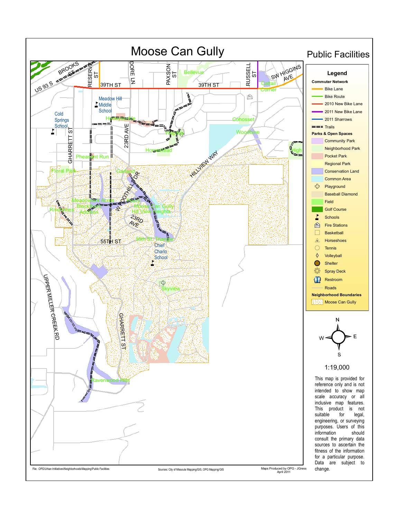